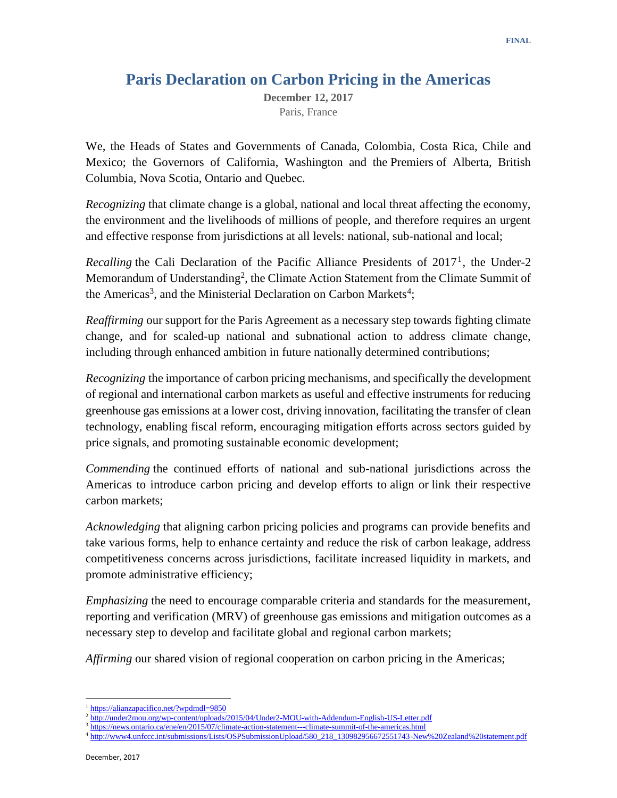## **Paris Declaration on Carbon Pricing in the Americas**

**December 12, 2017** Paris, France

We, the Heads of States and Governments of Canada, Colombia, Costa Rica, Chile and Mexico; the Governors of California, Washington and the Premiers of Alberta, British Columbia, Nova Scotia, Ontario and Quebec.

*Recognizing* that climate change is a global, national and local threat affecting the economy, the environment and the livelihoods of millions of people, and therefore requires an urgent and effective response from jurisdictions at all levels: national, sub-national and local;

Recalling the Cali Declaration of the Pacific Alliance Presidents of 2017<sup>1</sup>, the Under-2 Memorandum of Understanding<sup>2</sup>, the Climate Action Statement from the Climate Summit of the Americas<sup>3</sup>, and the Ministerial Declaration on Carbon Markets<sup>4</sup>;

*Reaffirming* our support for the Paris Agreement as a necessary step towards fighting climate change, and for scaled-up national and subnational action to address climate change, including through enhanced ambition in future nationally determined contributions;

*Recognizing* the importance of carbon pricing mechanisms, and specifically the development of regional and international carbon markets as useful and effective instruments for reducing greenhouse gas emissions at a lower cost, driving innovation, facilitating the transfer of clean technology, enabling fiscal reform, encouraging mitigation efforts across sectors guided by price signals, and promoting sustainable economic development;

*Commending* the continued efforts of national and sub-national jurisdictions across the Americas to introduce carbon pricing and develop efforts to align or link their respective carbon markets;

*Acknowledging* that aligning carbon pricing policies and programs can provide benefits and take various forms, help to enhance certainty and reduce the risk of carbon leakage, address competitiveness concerns across jurisdictions, facilitate increased liquidity in markets, and promote administrative efficiency;

*Emphasizing* the need to encourage comparable criteria and standards for the measurement, reporting and verification (MRV) of greenhouse gas emissions and mitigation outcomes as a necessary step to develop and facilitate global and regional carbon markets;

*Affirming* our shared vision of regional cooperation on carbon pricing in the Americas;

 $\ddot{\phantom{a}}$ <sup>1</sup> <https://alianzapacifico.net/?wpdmdl=9850>

<sup>&</sup>lt;sup>2</sup> <http://under2mou.org/wp-content/uploads/2015/04/Under2-MOU-with-Addendum-English-US-Letter.pdf>

<sup>3</sup> <https://news.ontario.ca/ene/en/2015/07/climate-action-statement---climate-summit-of-the-americas.html>

<sup>4</sup> [http://www4.unfccc.int/submissions/Lists/OSPSubmissionUpload/580\\_218\\_130982956672551743-New%20Zealand%20statement.pdf](http://www4.unfccc.int/submissions/Lists/OSPSubmissionUpload/580_218_130982956672551743-New%20Zealand%20statement.pdf)